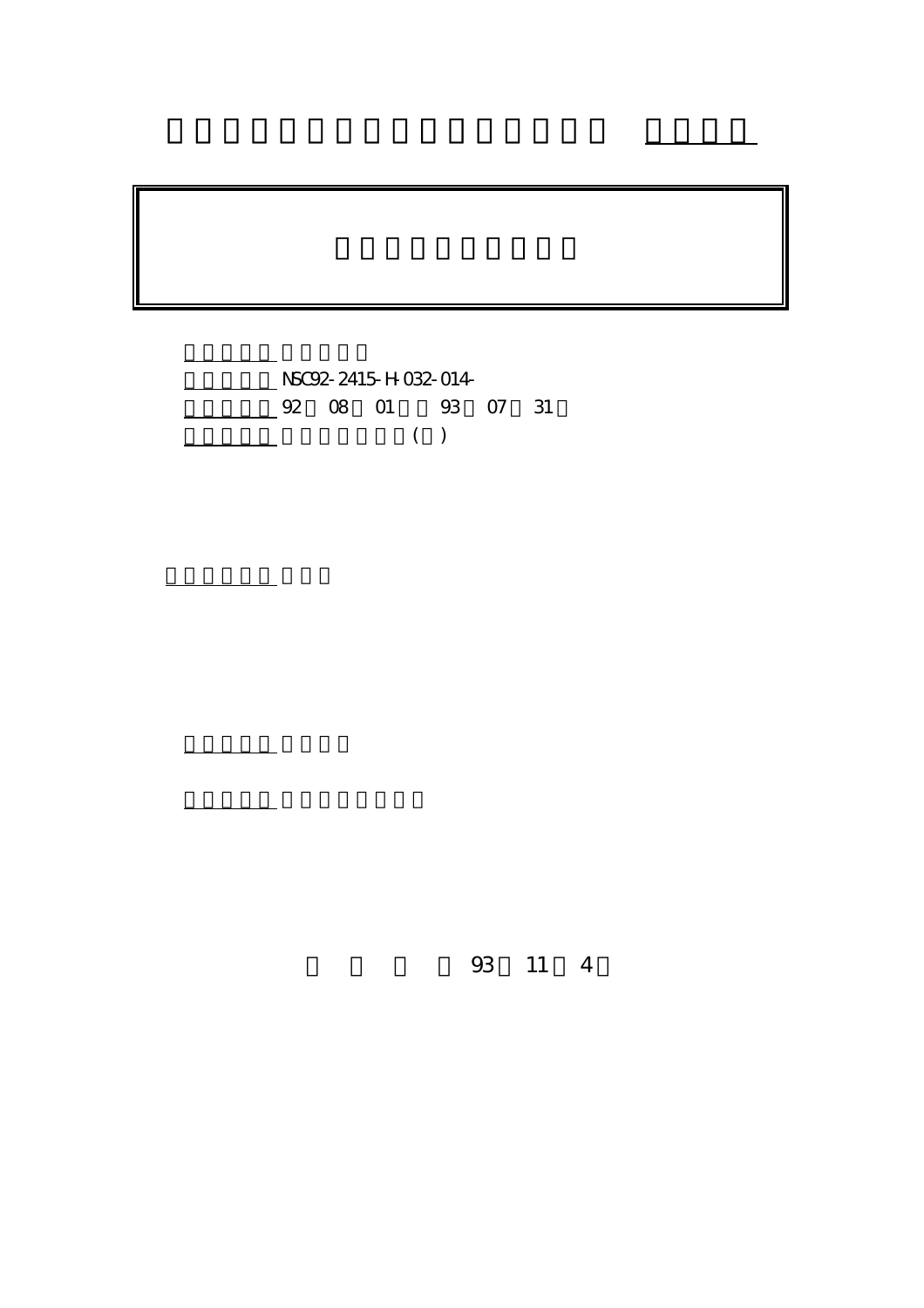

計畫主持人: 廖惠珠

報告類型: 精簡報告

。<br>在前書 : 本計畫可公開查

行政院國家科學委員會專題研究計畫 成果報告

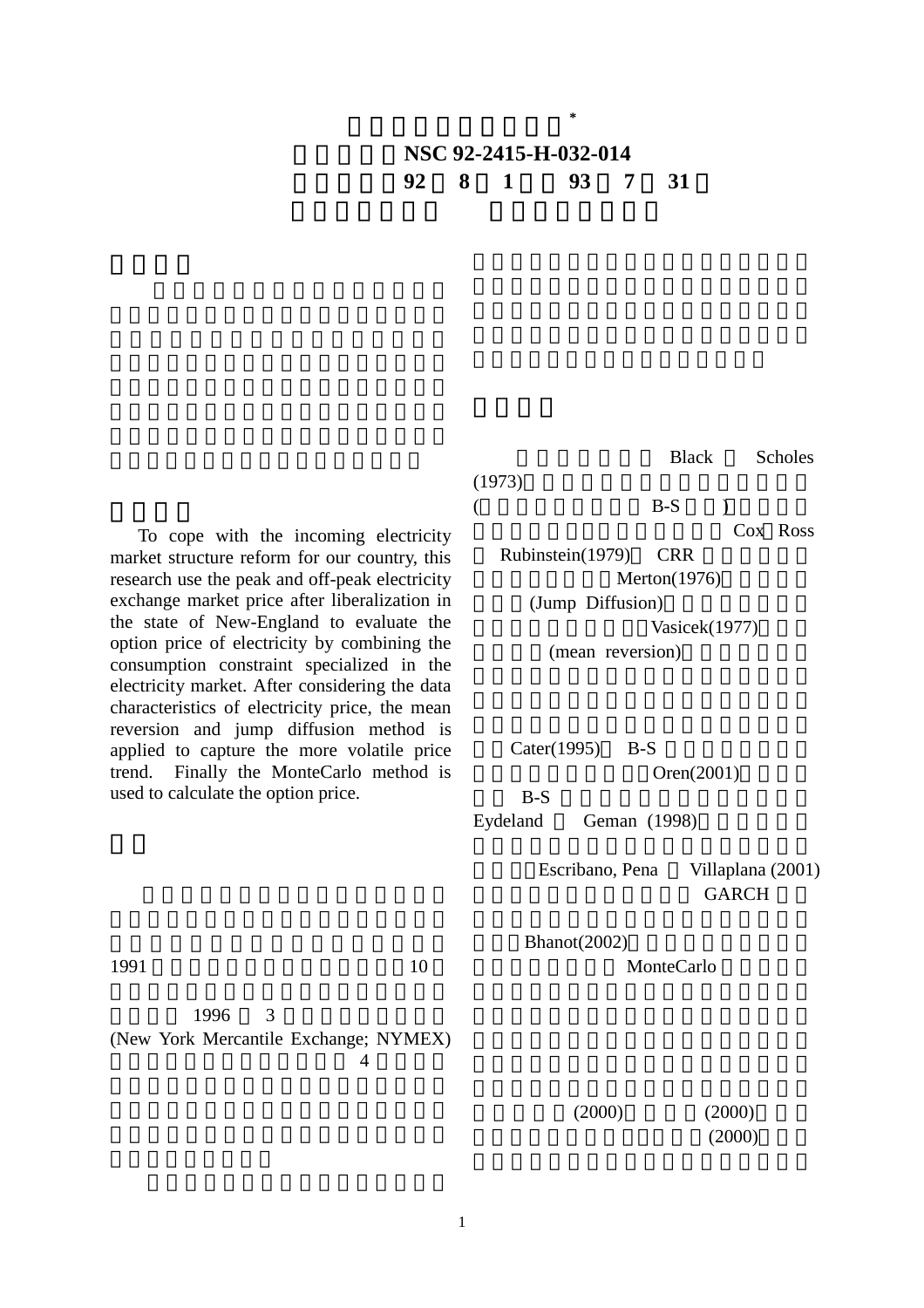## 計畫編號:**NSC 92-2415-H-032-014** 執行期限:**92** 年 **8** 月 **1** 日至 **93** 年 **7** 月 **31** 日

電力選擇權價值之研究**\***

 To cope with the incoming electricity market structure reform for our country, this research use the peak and off-peak electricity exchange market price after liberalization in the state of New-England to evaluate the option price of electricity by combining the consumption constraint specialized in the electricity market. After considering the data characteristics of electricity price, the mean reversion and jump diffusion method is applied to capture the more volatile price trend. Finally the MonteCarlo method is used to calculate the option price.

**Black** Scholes

Cox Ross Rubinstein(1979) CRR  $Merton(1976)$ (Jump Diffusion) Vasicek(1977) (mean reversion)

 $($  B-S  $)$ 

Cater $(1995)$  B-S  $Oren(2001)$ 

 $B-S$ 

Escribano, Pena Villaplana (2001) GARCH

 $Bhanot(2002)$ MonteCarlo

 $1996 \qquad 3$ (New York Mercantile Exchange; NYMEX)  $4$ 

1

 $(2000)$   $(2000)$  $(2000)$ 

 $1991$  10

 $(1973)$ 

$$
2^{-\mathcal{C}}
$$

Eydeland Geman (1998)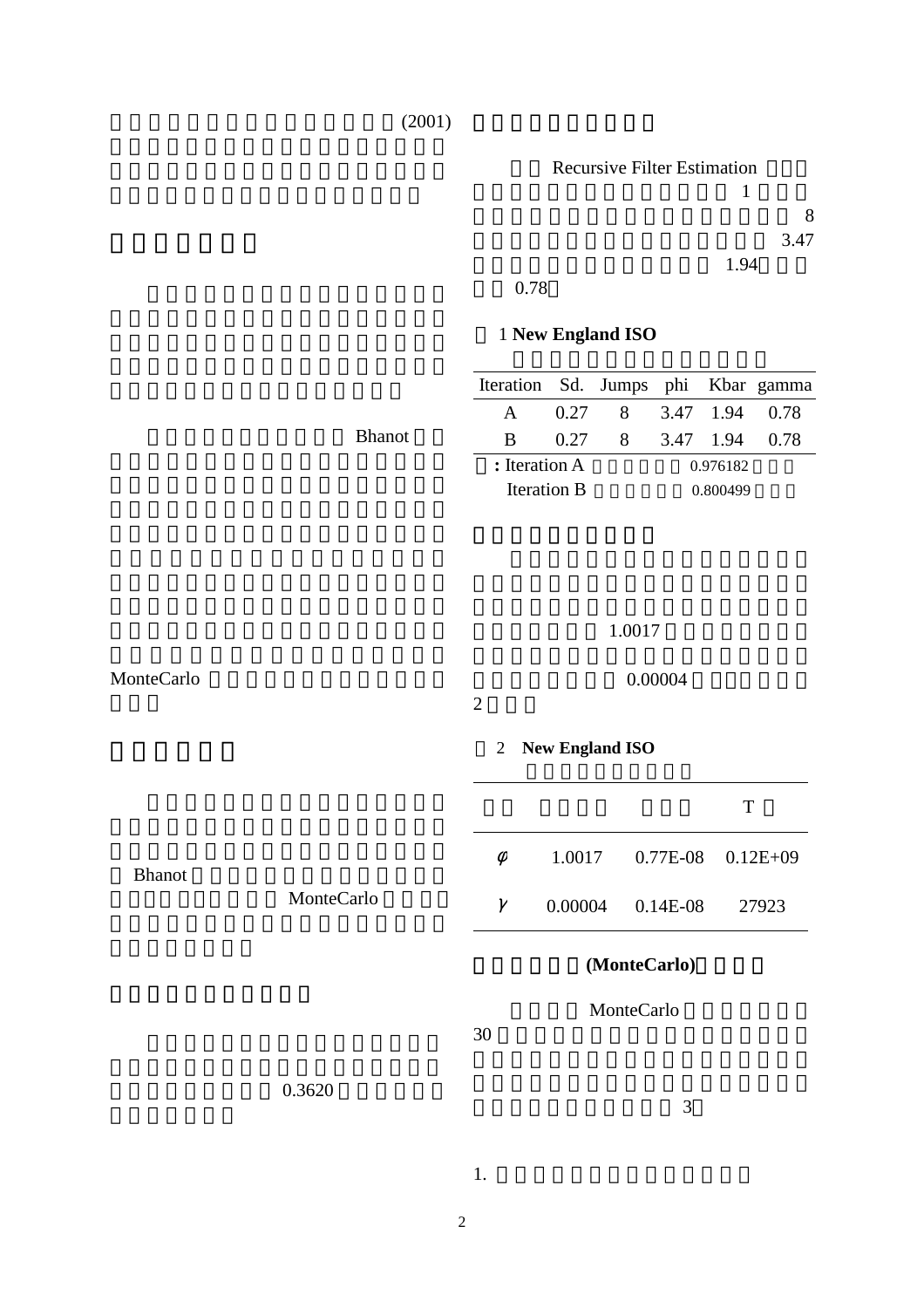## $(2001)$



差為 0.78

## 1 **New England ISO**

|               | Iteration Sd. Jumps phi Kbar gamma |  |                                                 |          |  |  |  |
|---------------|------------------------------------|--|-------------------------------------------------|----------|--|--|--|
|               | $\mathsf{A}$                       |  | $0.27$ 8 3.47 1.94 0.78                         |          |  |  |  |
| <b>Bhanot</b> | <sub>B</sub>                       |  | $0.27 \quad 8 \quad 3.47 \quad 1.94 \quad 0.78$ |          |  |  |  |
|               | : Iteration A                      |  |                                                 | 0.976182 |  |  |  |
|               | Iteration B                        |  |                                                 | 0.800499 |  |  |  |

|               |            | 1.0017         |                        |            |              |  |  |  |  |
|---------------|------------|----------------|------------------------|------------|--------------|--|--|--|--|
| MonteCarlo    |            | $\overline{2}$ | 0.00004                |            |              |  |  |  |  |
|               |            | $\overline{2}$ | <b>New England ISO</b> |            |              |  |  |  |  |
|               |            |                |                        |            | T            |  |  |  |  |
| <b>Bhanot</b> |            | $\phi$         | 1.0017                 | 0.77E-08   | $0.12E + 09$ |  |  |  |  |
|               | MonteCarlo | $\gamma$       | 0.00004                | $0.14E-08$ | 27923        |  |  |  |  |
|               |            |                | (MonteCarlo)           |            |              |  |  |  |  |
|               |            | 30             | MonteCarlo             |            |              |  |  |  |  |
|               | 0.3620     |                |                        | 3          |              |  |  |  |  |

2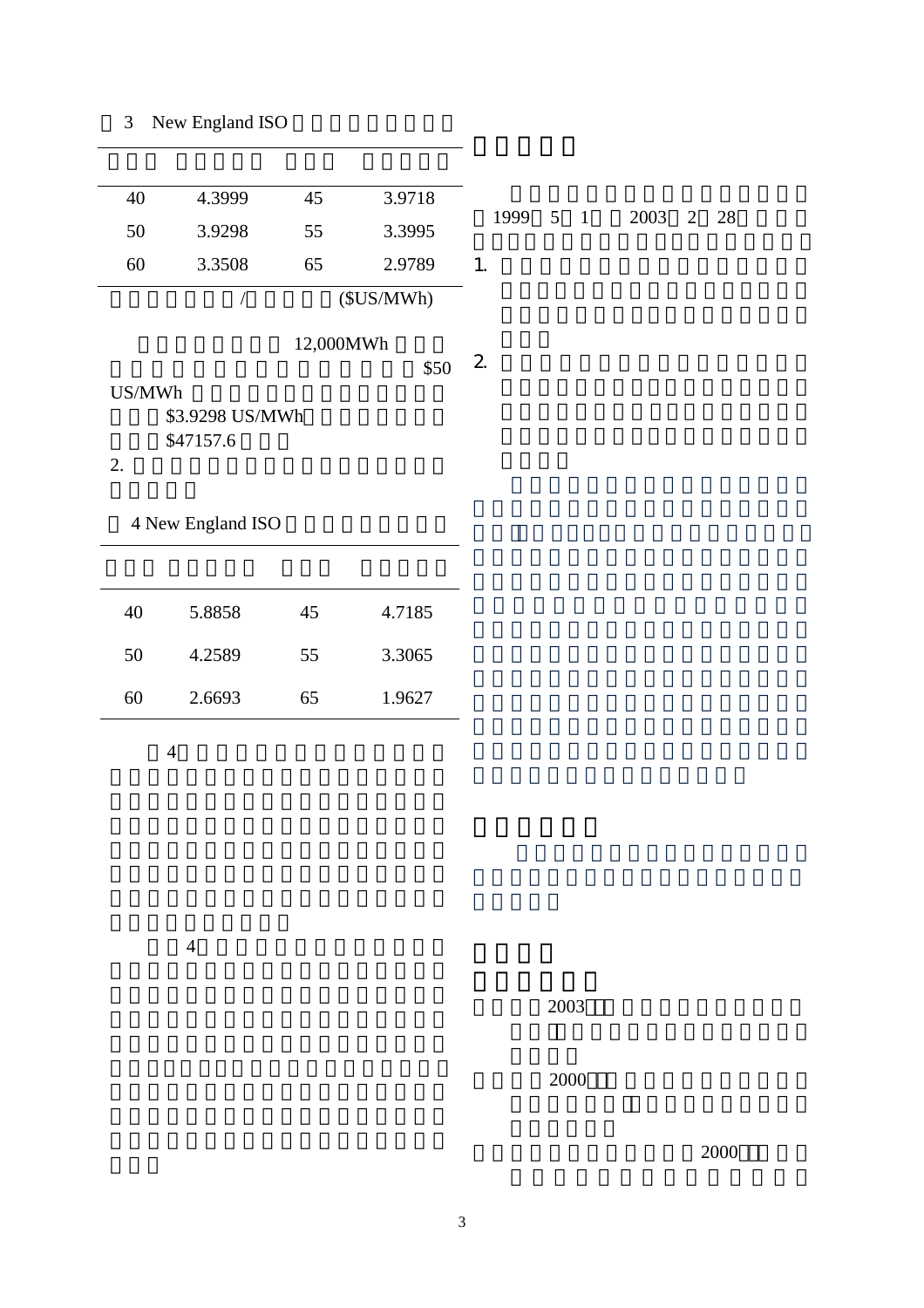| 40     | 4.3999            | 45        | 3.9718    |                |             |      |
|--------|-------------------|-----------|-----------|----------------|-------------|------|
| 50     | 3.9298            | 55        | 3.3995    | 1999           | $5 \quad 1$ | 2003 |
| 60     | 3.3508            | 65        | 2.9789    | 1.             |             |      |
|        | $\bigg)$          |           | (SUS/MWh) |                |             |      |
|        |                   | 12,000MWh | \$50      | $\overline{2}$ |             |      |
| US/MWh |                   |           |           |                |             |      |
|        | \$3.9298 US/MWh   |           |           |                |             |      |
|        | \$47157.6         |           |           |                |             |      |
| 2.     |                   |           |           |                |             |      |
|        |                   |           |           |                |             |      |
|        | 4 New England ISO |           |           |                |             |      |
|        |                   |           |           |                |             |      |
|        |                   |           |           |                |             |      |
| 40     | 5.8858            | 45        | 4.7185    |                |             |      |
| 50     | 4.2589            | 55        | 3.3065    |                |             |      |

 $4$ 

60 2.6693 65 1.9627

 $4\,$ 

張元晨(2000 〝電力市場衍生性商品避

陳澤義、許志義、許宏敏(2000 〝臺灣